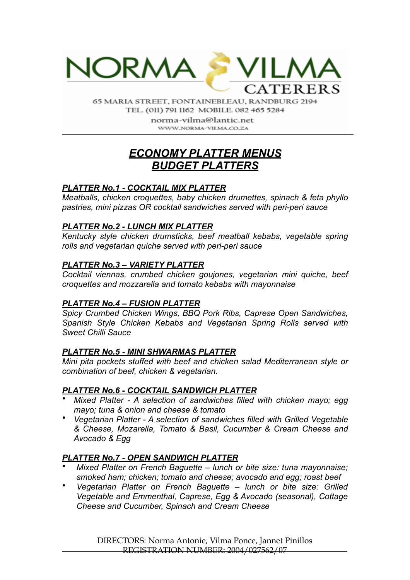

65 MARIA STREET, FONTAINEBLEAU, RANDBURG 2194 TEL. (011) 791 1162 MOBILE. 082 465 5284

> norma-vilma@lantic.net WWW.NORMA-VILMA.CO.ZA

# *ECONOMY PLATTER MENUS BUDGET PLATTERS*

# *PLATTER No.1 - COCKTAIL MIX PLATTER*

*Meatballs, chicken croquettes, baby chicken drumettes, spinach & feta phyllo pastries, mini pizzas OR cocktail sandwiches served with peri-peri sauce* 

# *PLATTER No.2 - LUNCH MIX PLATTER*

*Kentucky style chicken drumsticks, beef meatball kebabs, vegetable spring rolls and vegetarian quiche served with peri-peri sauce* 

### *PLATTER No.3 – VARIETY PLATTER*

*Cocktail viennas, crumbed chicken goujones, vegetarian mini quiche, beef croquettes and mozzarella and tomato kebabs with mayonnaise* 

# *PLATTER No.4 – FUSION PLATTER*

*Spicy Crumbed Chicken Wings, BBQ Pork Ribs, Caprese Open Sandwiches, Spanish Style Chicken Kebabs and Vegetarian Spring Rolls served with Sweet Chilli Sauce* 

# *PLATTER No.5 - MINI SHWARMAS PLATTER*

*Mini pita pockets stuffed with beef and chicken salad Mediterranean style or combination of beef, chicken & vegetarian.* 

# *PLATTER No.6 - COCKTAIL SANDWICH PLATTER*

- *Mixed Platter A selection of sandwiches filled with chicken mayo; egg mayo; tuna & onion and cheese & tomato*
- *Vegetarian Platter A selection of sandwiches filled with Grilled Vegetable & Cheese, Mozarella, Tomato & Basil, Cucumber & Cream Cheese and Avocado & Egg*

# *PLATTER No.7 - OPEN SANDWICH PLATTER*

- *Mixed Platter on French Baguette lunch or bite size: tuna mayonnaise; smoked ham; chicken; tomato and cheese; avocado and egg; roast beef*
- *Vegetarian Platter on French Baguette lunch or bite size: Grilled Vegetable and Emmenthal, Caprese, Egg & Avocado (seasonal), Cottage Cheese and Cucumber, Spinach and Cream Cheese*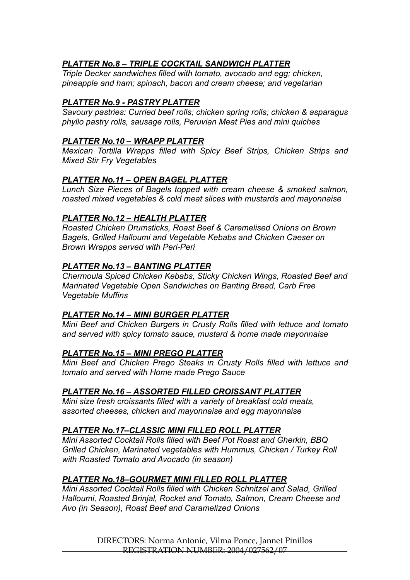# *PLATTER No.8 – TRIPLE COCKTAIL SANDWICH PLATTER*

*Triple Decker sandwiches filled with tomato, avocado and egg; chicken, pineapple and ham; spinach, bacon and cream cheese; and vegetarian* 

# *PLATTER No.9 - PASTRY PLATTER*

*Savoury pastries: Curried beef rolls; chicken spring rolls; chicken & asparagus phyllo pastry rolls, sausage rolls, Peruvian Meat Pies and mini quiches* 

## *PLATTER No.10 – WRAPP PLATTER*

*Mexican Tortilla Wrapps filled with Spicy Beef Strips, Chicken Strips and Mixed Stir Fry Vegetables* 

### *PLATTER No.11 – OPEN BAGEL PLATTER*

*Lunch Size Pieces of Bagels topped with cream cheese & smoked salmon, roasted mixed vegetables & cold meat slices with mustards and mayonnaise* 

### *PLATTER No.12 – HEALTH PLATTER*

*Roasted Chicken Drumsticks, Roast Beef & Caremelised Onions on Brown Bagels, Grilled Halloumi and Vegetable Kebabs and Chicken Caeser on Brown Wrapps served with Peri-Peri* 

#### *PLATTER No.13 – BANTING PLATTER*

*Chermoula Spiced Chicken Kebabs, Sticky Chicken Wings, Roasted Beef and Marinated Vegetable Open Sandwiches on Banting Bread, Carb Free Vegetable Muffins* 

#### *PLATTER No.14 – MINI BURGER PLATTER*

*Mini Beef and Chicken Burgers in Crusty Rolls filled with lettuce and tomato and served with spicy tomato sauce, mustard & home made mayonnaise* 

#### *PLATTER No.15 – MINI PREGO PLATTER*

*Mini Beef and Chicken Prego Steaks in Crusty Rolls filled with lettuce and tomato and served with Home made Prego Sauce* 

#### *PLATTER No.16 – ASSORTED FILLED CROISSANT PLATTER*

*Mini size fresh croissants filled with a variety of breakfast cold meats, assorted cheeses, chicken and mayonnaise and egg mayonnaise* 

#### *PLATTER No.17–CLASSIC MINI FILLED ROLL PLATTER*

*Mini Assorted Cocktail Rolls filled with Beef Pot Roast and Gherkin, BBQ Grilled Chicken, Marinated vegetables with Hummus, Chicken / Turkey Roll with Roasted Tomato and Avocado (in season)* 

# *PLATTER No.18–GOURMET MINI FILLED ROLL PLATTER*

*Mini Assorted Cocktail Rolls filled with Chicken Schnitzel and Salad, Grilled Halloumi, Roasted Brinjal, Rocket and Tomato, Salmon, Cream Cheese and Avo (in Season), Roast Beef and Caramelized Onions* 

> DIRECTORS: Norma Antonie, Vilma Ponce, Jannet Pinillos REGISTRATION NUMBER: 2004/027562/07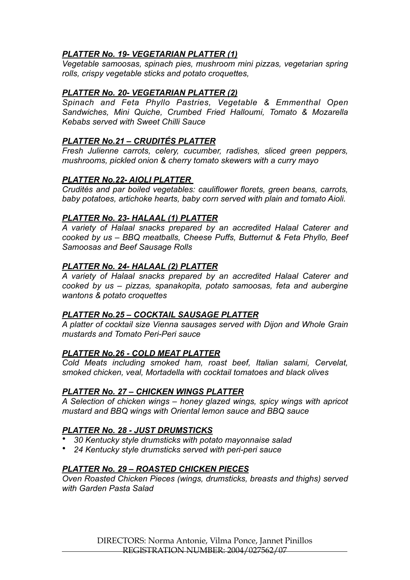# *PLATTER No. 19- VEGETARIAN PLATTER (1)*

*Vegetable samoosas, spinach pies, mushroom mini pizzas, vegetarian spring rolls, crispy vegetable sticks and potato croquettes,* 

# *PLATTER No. 20- VEGETARIAN PLATTER (2)*

*Spinach and Feta Phyllo Pastries, Vegetable & Emmenthal Open Sandwiches, Mini Quiche, Crumbed Fried Halloumi, Tomato & Mozarella Kebabs served with Sweet Chilli Sauce* 

# *PLATTER No.21 – CRUDITÉS PLATTER*

*Fresh Julienne carrots, celery, cucumber, radishes, sliced green peppers, mushrooms, pickled onion & cherry tomato skewers with a curry mayo* 

# *PLATTER No.22- AIOLI PLATTER*

*Crudités and par boiled vegetables: cauliflower florets, green beans, carrots, baby potatoes, artichoke hearts, baby corn served with plain and tomato Aioli.* 

# *PLATTER No. 23- HALAAL (1) PLATTER*

*A variety of Halaal snacks prepared by an accredited Halaal Caterer and cooked by us – BBQ meatballs, Cheese Puffs, Butternut & Feta Phyllo, Beef Samoosas and Beef Sausage Rolls* 

# *PLATTER No. 24- HALAAL (2) PLATTER*

*A variety of Halaal snacks prepared by an accredited Halaal Caterer and cooked by us – pizzas, spanakopita, potato samoosas, feta and aubergine wantons & potato croquettes* 

# *PLATTER No.25 – COCKTAIL SAUSAGE PLATTER*

*A platter of cocktail size Vienna sausages served with Dijon and Whole Grain mustards and Tomato Peri-Peri sauce* 

# *PLATTER No.26 - COLD MEAT PLATTER*

*Cold Meats including smoked ham, roast beef, Italian salami, Cervelat, smoked chicken, veal, Mortadella with cocktail tomatoes and black olives* 

# *PLATTER No. 27 – CHICKEN WINGS PLATTER*

*A Selection of chicken wings – honey glazed wings, spicy wings with apricot mustard and BBQ wings with Oriental lemon sauce and BBQ sauce* 

# *PLATTER No. 28 - JUST DRUMSTICKS*

- *30 Kentucky style drumsticks with potato mayonnaise salad*
- *24 Kentucky style drumsticks served with peri-peri sauce*

# *PLATTER No. 29 – ROASTED CHICKEN PIECES*

*Oven Roasted Chicken Pieces (wings, drumsticks, breasts and thighs) served with Garden Pasta Salad*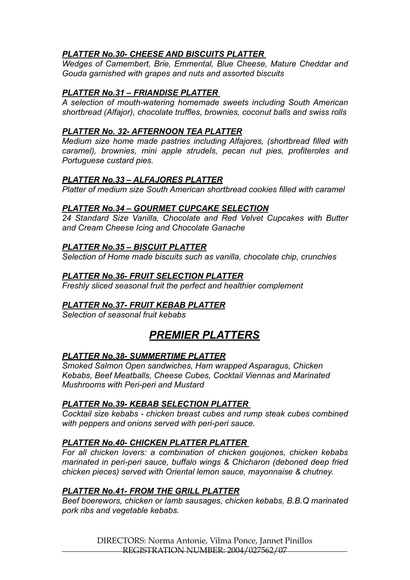# *PLATTER No.30- CHEESE AND BISCUITS PLATTER*

*Wedges of Camembert, Brie, Emmental, Blue Cheese, Mature Cheddar and Gouda garnished with grapes and nuts and assorted biscuits* 

# *PLATTER No.31 – FRIANDISE PLATTER*

*A selection of mouth-watering homemade sweets including South American shortbread (Alfajor), chocolate truffles, brownies, coconut balls and swiss rolls* 

# *PLATTER No. 32- AFTERNOON TEA PLATTER*

*Medium size home made pastries including Alfajores, (shortbread filled with caramel), brownies, mini apple strudels, pecan nut pies, profiteroles and Portuguese custard pies.* 

# *PLATTER No.33 – ALFAJORES PLATTER*

*Platter of medium size South American shortbread cookies filled with caramel* 

# *PLATTER No.34 – GOURMET CUPCAKE SELECTION*

*24 Standard Size Vanilla, Chocolate and Red Velvet Cupcakes with Butter and Cream Cheese Icing and Chocolate Ganache* 

# *PLATTER No.35 – BISCUIT PLATTER*

*Selection of Home made biscuits such as vanilla, chocolate chip, crunchies* 

# *PLATTER No.36- FRUIT SELECTION PLATTER*

*Freshly sliced seasonal fruit the perfect and healthier complement*

# *PLATTER No.37- FRUIT KEBAB PLATTER*

*Selection of seasonal fruit kebabs* 

# *PREMIER PLATTERS*

# *PLATTER No.38- SUMMERTIME PLATTER*

*Smoked Salmon Open sandwiches, Ham wrapped Asparagus, Chicken Kebabs, Beef Meatballs, Cheese Cubes, Cocktail Viennas and Marinated Mushrooms with Peri-peri and Mustard* 

# *PLATTER No.39- KEBAB SELECTION PLATTER*

*Cocktail size kebabs - chicken breast cubes and rump steak cubes combined with peppers and onions served with peri-peri sauce.* 

# *PLATTER No.40- CHICKEN PLATTER PLATTER*

*For all chicken lovers: a combination of chicken goujones, chicken kebabs marinated in peri-peri sauce, buffalo wings & Chicharon (deboned deep fried chicken pieces) served with Oriental lemon sauce, mayonnaise & chutney.* 

# *PLATTER No.41- FROM THE GRILL PLATTER*

*Beef boerewors, chicken or lamb sausages, chicken kebabs, B.B.Q marinated pork ribs and vegetable kebabs.* 

> DIRECTORS: Norma Antonie, Vilma Ponce, Jannet Pinillos REGISTRATION NUMBER: 2004/027562/07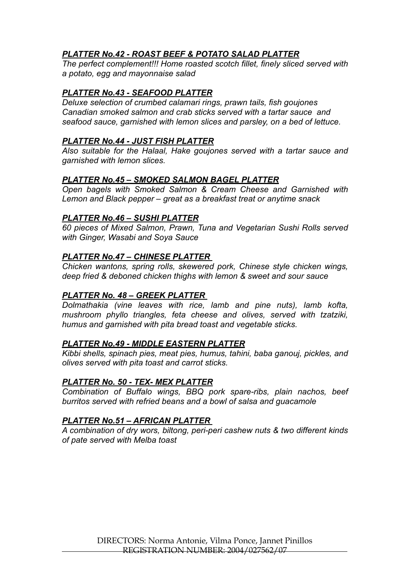# *PLATTER No.42 - ROAST BEEF & POTATO SALAD PLATTER*

*The perfect complement!!! Home roasted scotch fillet, finely sliced served with a potato, egg and mayonnaise salad* 

# *PLATTER No.43 - SEAFOOD PLATTER*

*Deluxe selection of crumbed calamari rings, prawn tails, fish goujones Canadian smoked salmon and crab sticks served with a tartar sauce and seafood sauce, garnished with lemon slices and parsley, on a bed of lettuce.* 

# *PLATTER No.44 - JUST FISH PLATTER*

*Also suitable for the Halaal, Hake goujones served with a tartar sauce and garnished with lemon slices.* 

# *PLATTER No.45 – SMOKED SALMON BAGEL PLATTER*

*Open bagels with Smoked Salmon & Cream Cheese and Garnished with Lemon and Black pepper – great as a breakfast treat or anytime snack* 

### *PLATTER No.46 – SUSHI PLATTER*

*60 pieces of Mixed Salmon, Prawn, Tuna and Vegetarian Sushi Rolls served with Ginger, Wasabi and Soya Sauce* 

### *PLATTER No.47 – CHINESE PLATTER*

*Chicken wantons, spring rolls, skewered pork, Chinese style chicken wings, deep fried & deboned chicken thighs with lemon & sweet and sour sauce* 

# *PLATTER No. 48 – GREEK PLATTER*

*Dolmathakia (vine leaves with rice, lamb and pine nuts), lamb kofta, mushroom phyllo triangles, feta cheese and olives, served with tzatziki, humus and garnished with pita bread toast and vegetable sticks.* 

#### *PLATTER No.49 - MIDDLE EASTERN PLATTER*

*Kibbi shells, spinach pies, meat pies, humus, tahini, baba ganouj, pickles, and olives served with pita toast and carrot sticks.* 

#### *PLATTER No. 50 - TEX- MEX PLATTER*

*Combination of Buffalo wings, BBQ pork spare-ribs, plain nachos, beef burritos served with refried beans and a bowl of salsa and guacamole* 

#### *PLATTER No.51 – AFRICAN PLATTER*

*A combination of dry wors, biltong, peri-peri cashew nuts & two different kinds of pate served with Melba toast*